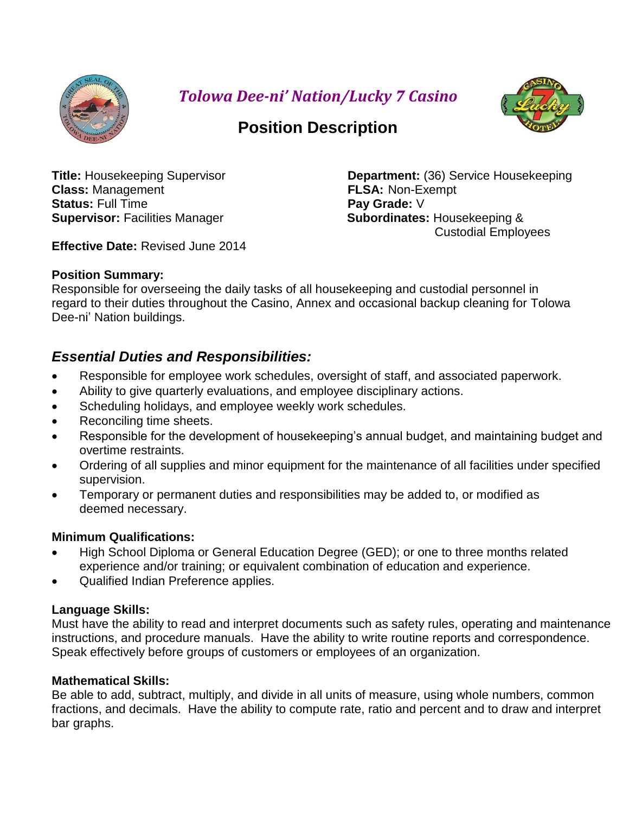

*Tolowa Dee-ni' Nation/Lucky 7 Casino*



# **Position Description**

**Class:** Management **FLSA:** Non-Exempt **Status:** Full Time **Pay Grade:** V **Supervisor:** Facilities Manager **Subordinates:** Housekeeping &

**Title:** Housekeeping Supervisor **Department:** (36) Service Housekeeping Custodial Employees

**Effective Date:** Revised June 2014

# **Position Summary:**

Responsible for overseeing the daily tasks of all housekeeping and custodial personnel in regard to their duties throughout the Casino, Annex and occasional backup cleaning for Tolowa Dee-ni' Nation buildings.

# *Essential Duties and Responsibilities:*

- Responsible for employee work schedules, oversight of staff, and associated paperwork.
- Ability to give quarterly evaluations, and employee disciplinary actions.
- Scheduling holidays, and employee weekly work schedules.
- Reconciling time sheets.
- Responsible for the development of housekeeping's annual budget, and maintaining budget and overtime restraints.
- Ordering of all supplies and minor equipment for the maintenance of all facilities under specified supervision.
- Temporary or permanent duties and responsibilities may be added to, or modified as deemed necessary.

# **Minimum Qualifications:**

- High School Diploma or General Education Degree (GED); or one to three months related experience and/or training; or equivalent combination of education and experience.
- Qualified Indian Preference applies.

# **Language Skills:**

Must have the ability to read and interpret documents such as safety rules, operating and maintenance instructions, and procedure manuals. Have the ability to write routine reports and correspondence. Speak effectively before groups of customers or employees of an organization.

# **Mathematical Skills:**

Be able to add, subtract, multiply, and divide in all units of measure, using whole numbers, common fractions, and decimals. Have the ability to compute rate, ratio and percent and to draw and interpret bar graphs.